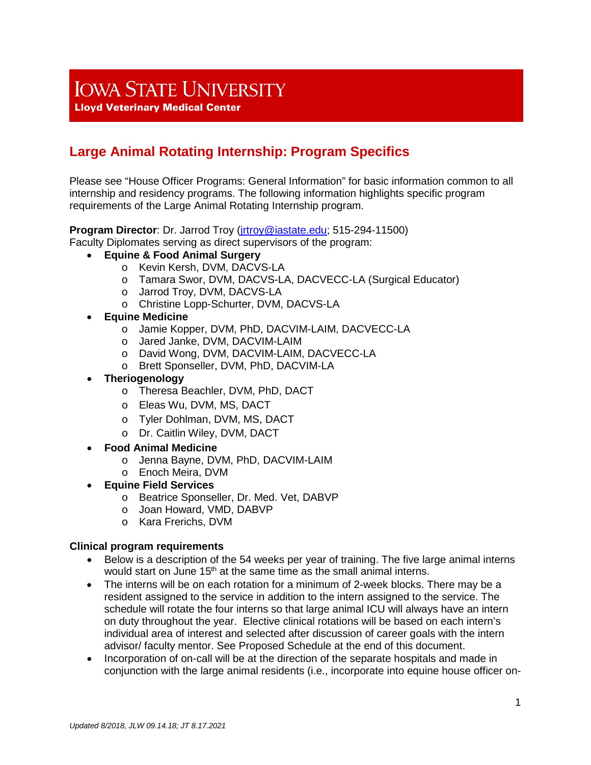## **IOWA STATE UNIVERSITY**

**Lloyd Veterinary Medical Center** 

## **Large Animal Rotating Internship: Program Specifics**

Please see "House Officer Programs: General Information" for basic information common to all internship and residency programs. The following information highlights specific program requirements of the Large Animal Rotating Internship program.

**Program Director**: Dr. Jarrod Troy [\(jrtroy@iastate.edu;](mailto:jrtroy@iastate.edu) 515-294-11500)

Faculty Diplomates serving as direct supervisors of the program:

- **Equine & Food Animal Surgery**
	- o Kevin Kersh, DVM, DACVS-LA
	- o Tamara Swor, DVM, DACVS-LA, DACVECC-LA (Surgical Educator)
	- o Jarrod Troy, DVM, DACVS-LA
	- o Christine Lopp-Schurter, DVM, DACVS-LA
- **Equine Medicine**
	- o Jamie Kopper, DVM, PhD, DACVIM-LAIM, DACVECC-LA
	- o Jared Janke, DVM, DACVIM-LAIM
	- o David Wong, DVM, DACVIM-LAIM, DACVECC-LA
	- o Brett Sponseller, DVM, PhD, DACVIM-LA
- **Theriogenology**
	- o Theresa Beachler, DVM, PhD, DACT
	- o Eleas Wu, DVM, MS, DACT
	- o Tyler Dohlman, DVM, MS, DACT
	- o Dr. Caitlin Wiley, DVM, DACT
- **Food Animal Medicine**
	- o Jenna Bayne, DVM, PhD, DACVIM-LAIM
	- o Enoch Meira, DVM
- **Equine Field Services**
	- o Beatrice Sponseller, Dr. Med. Vet, DABVP
	- o Joan Howard, VMD, DABVP
	- o Kara Frerichs, DVM

## **Clinical program requirements**

- Below is a description of the 54 weeks per year of training. The five large animal interns would start on June  $15<sup>th</sup>$  at the same time as the small animal interns.
- The interns will be on each rotation for a minimum of 2-week blocks. There may be a resident assigned to the service in addition to the intern assigned to the service. The schedule will rotate the four interns so that large animal ICU will always have an intern on duty throughout the year. Elective clinical rotations will be based on each intern's individual area of interest and selected after discussion of career goals with the intern advisor/ faculty mentor. See Proposed Schedule at the end of this document.
- Incorporation of on-call will be at the direction of the separate hospitals and made in conjunction with the large animal residents (i.e., incorporate into equine house officer on-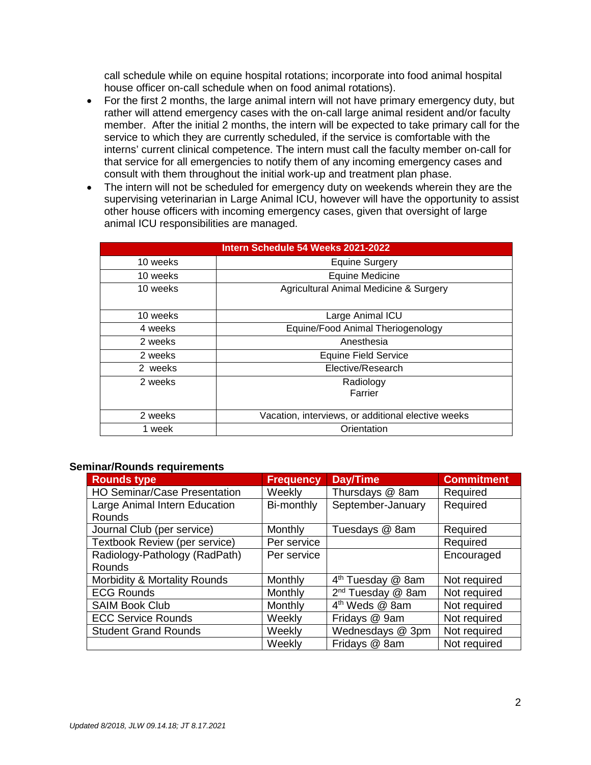call schedule while on equine hospital rotations; incorporate into food animal hospital house officer on-call schedule when on food animal rotations).

- For the first 2 months, the large animal intern will not have primary emergency duty, but rather will attend emergency cases with the on-call large animal resident and/or faculty member. After the initial 2 months, the intern will be expected to take primary call for the service to which they are currently scheduled, if the service is comfortable with the interns' current clinical competence. The intern must call the faculty member on-call for that service for all emergencies to notify them of any incoming emergency cases and consult with them throughout the initial work-up and treatment plan phase.
- The intern will not be scheduled for emergency duty on weekends wherein they are the supervising veterinarian in Large Animal ICU, however will have the opportunity to assist other house officers with incoming emergency cases, given that oversight of large animal ICU responsibilities are managed.

| Intern Schedule 54 Weeks 2021-2022 |                                                    |  |  |  |  |  |  |
|------------------------------------|----------------------------------------------------|--|--|--|--|--|--|
| 10 weeks                           | <b>Equine Surgery</b>                              |  |  |  |  |  |  |
| 10 weeks                           | <b>Equine Medicine</b>                             |  |  |  |  |  |  |
| 10 weeks                           | Agricultural Animal Medicine & Surgery             |  |  |  |  |  |  |
| 10 weeks                           | Large Animal ICU                                   |  |  |  |  |  |  |
| 4 weeks                            | Equine/Food Animal Theriogenology                  |  |  |  |  |  |  |
| 2 weeks                            | Anesthesia                                         |  |  |  |  |  |  |
| 2 weeks                            | <b>Equine Field Service</b>                        |  |  |  |  |  |  |
| 2 weeks                            | Elective/Research                                  |  |  |  |  |  |  |
| 2 weeks                            | Radiology<br>Farrier                               |  |  |  |  |  |  |
| 2 weeks                            | Vacation, interviews, or additional elective weeks |  |  |  |  |  |  |
| 1 week                             | Orientation                                        |  |  |  |  |  |  |

## **Seminar/Rounds requirements**

| <b>Rounds type</b>                  | <b>Frequency</b> | Day/Time                      | <b>Commitment</b> |  |
|-------------------------------------|------------------|-------------------------------|-------------------|--|
| <b>HO Seminar/Case Presentation</b> | Weekly           | Thursdays @ 8am               | Required          |  |
| Large Animal Intern Education       | Bi-monthly       | September-January             | Required          |  |
| Rounds                              |                  |                               |                   |  |
| Journal Club (per service)          | Monthly          | Tuesdays @ 8am                | Required          |  |
| Textbook Review (per service)       | Per service      |                               | Required          |  |
| Radiology-Pathology (RadPath)       | Per service      |                               | Encouraged        |  |
| <b>Rounds</b>                       |                  |                               |                   |  |
| Morbidity & Mortality Rounds        | Monthly          | 4 <sup>th</sup> Tuesday @ 8am | Not required      |  |
| <b>ECG Rounds</b>                   | Monthly          | 2 <sup>nd</sup> Tuesday @ 8am | Not required      |  |
| <b>SAIM Book Club</b>               | Monthly          | 4 <sup>th</sup> Weds @ 8am    | Not required      |  |
| <b>ECC Service Rounds</b>           | Weekly           | Fridays @ 9am                 | Not required      |  |
| <b>Student Grand Rounds</b>         | Weekly           | Wednesdays @ 3pm              | Not required      |  |
|                                     | Weekly           | Fridays @ 8am                 | Not required      |  |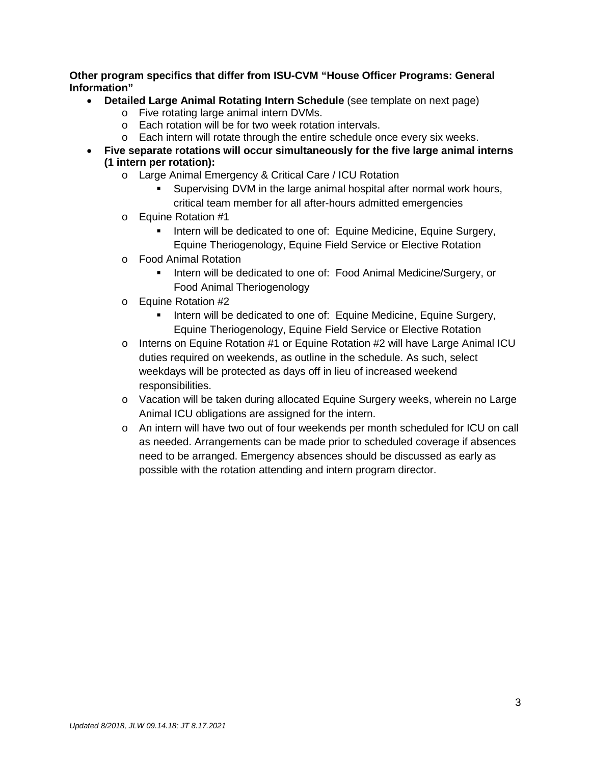**Other program specifics that differ from ISU-CVM "House Officer Programs: General Information"** 

- **Detailed Large Animal Rotating Intern Schedule** (see template on next page)
	- o Five rotating large animal intern DVMs.
	- o Each rotation will be for two week rotation intervals.
	- o Each intern will rotate through the entire schedule once every six weeks.
- **Five separate rotations will occur simultaneously for the five large animal interns (1 intern per rotation):**
	- o Large Animal Emergency & Critical Care / ICU Rotation
		- Supervising DVM in the large animal hospital after normal work hours, critical team member for all after-hours admitted emergencies
	- o Equine Rotation #1
		- Intern will be dedicated to one of: Equine Medicine, Equine Surgery, Equine Theriogenology, Equine Field Service or Elective Rotation
	- o Food Animal Rotation
		- Intern will be dedicated to one of: Food Animal Medicine/Surgery, or Food Animal Theriogenology
	- o Equine Rotation #2
		- Intern will be dedicated to one of: Equine Medicine, Equine Surgery, Equine Theriogenology, Equine Field Service or Elective Rotation
	- $\circ$  Interns on Equine Rotation #1 or Equine Rotation #2 will have Large Animal ICU duties required on weekends, as outline in the schedule. As such, select weekdays will be protected as days off in lieu of increased weekend responsibilities.
	- o Vacation will be taken during allocated Equine Surgery weeks, wherein no Large Animal ICU obligations are assigned for the intern.
	- o An intern will have two out of four weekends per month scheduled for ICU on call as needed. Arrangements can be made prior to scheduled coverage if absences need to be arranged. Emergency absences should be discussed as early as possible with the rotation attending and intern program director.